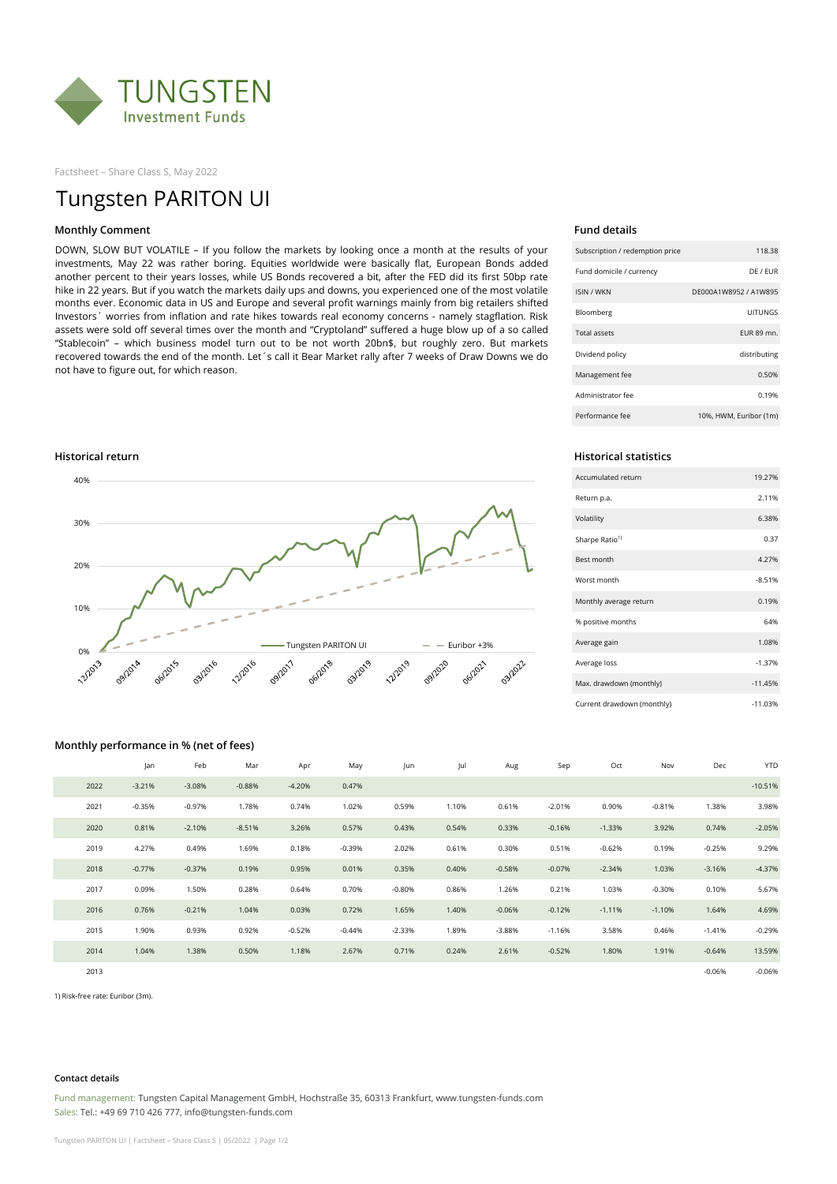

Factsheet – Share Class S, May 2022

# Tungsten PARITON UI

# **Monthly Comment Fund details**

DOWN, SLOW BUT VOLATILE – If you follow the markets by looking once a month at the results of your investments, May 22 was rather boring. Equities worldwide were basically flat, European Bonds added another percent to their years losses, while US Bonds recovered a bit, after the FED did its first 50bp rate hike in 22 years. But if you watch the markets daily ups and downs, you experienced one of the most volatile months ever. Economic data in US and Europe and several profit warnings mainly from big retailers shifted Investors´ worries from inflation and rate hikes towards real economy concerns - namely stagflation. Risk assets were sold off several times over the month and "Cryptoland" suffered a huge blow up of a so called "Stablecoin" – which business model turn out to be not worth 20bn\$, but roughly zero. But markets recovered towards the end of the month. Let´s call it Bear Market rally after 7 weeks of Draw Downs we do not have to figure out, for which reason.



| Subscription / redemption price | 118.38                 |
|---------------------------------|------------------------|
| Fund domicile / currency        | DF / FUR               |
| <b>ISIN / WKN</b>               | DF000A1W8952 / A1W895  |
| Bloomberg                       | UITUNGS                |
| <b>Total assets</b>             | <b>EUR 89 mn.</b>      |
| Dividend policy                 | distributing           |
| Management fee                  | 0.50%                  |
| Administrator fee               | 0.19%                  |
| Performance fee                 | 10%, HWM, Euribor (1m) |

| Accumulated return         | 19.27%    |
|----------------------------|-----------|
| Return p.a.                | 2.11%     |
| Volatility                 | 6.38%     |
| Sharpe Ratio <sup>1)</sup> | 0.37      |
| <b>Best month</b>          | 4.27%     |
| Worst month                | $-8.51%$  |
| Monthly average return     | 0.19%     |
| % positive months          | 64%       |
| Average gain               | 1.08%     |
| Average loss               | $-1.37%$  |
| Max. drawdown (monthly)    | $-11.45%$ |
| Current drawdown (monthly) | $-11.03%$ |

### **Monthly performance in % (net of fees)**

|      | Jan      | Feb      | Mar      | Apr      | May      | Jun      | Jul   | Aug      | Sep      | Oct      | Nov      | Dec      | <b>YTD</b> |
|------|----------|----------|----------|----------|----------|----------|-------|----------|----------|----------|----------|----------|------------|
| 2022 | $-3.21%$ | $-3.08%$ | $-0.88%$ | $-4.20%$ | 0.47%    |          |       |          |          |          |          |          | $-10.51%$  |
| 2021 | $-0.35%$ | $-0.97%$ | 1.78%    | 0.74%    | 1.02%    | 0.59%    | 1.10% | 0.61%    | $-2.01%$ | 0.90%    | $-0.81%$ | 1.38%    | 3.98%      |
| 2020 | 0.81%    | $-2.10%$ | $-8.51%$ | 3.26%    | 0.57%    | 0.43%    | 0.54% | 0.33%    | $-0.16%$ | $-1.33%$ | 3.92%    | 0.74%    | $-2.05%$   |
| 2019 | 4.27%    | 0.49%    | 1.69%    | 0.18%    | $-0.39%$ | 2.02%    | 0.61% | 0.30%    | 0.51%    | $-0.62%$ | 0.19%    | $-0.25%$ | 9.29%      |
| 2018 | $-0.77%$ | $-0.37%$ | 0.19%    | 0.95%    | 0.01%    | 0.35%    | 0.40% | $-0.58%$ | $-0.07%$ | $-2.34%$ | 1.03%    | $-3.16%$ | $-4.37%$   |
| 2017 | 0.09%    | 1.50%    | 0.28%    | 0.64%    | 0.70%    | $-0.80%$ | 0.86% | 1.26%    | 0.21%    | 1.03%    | $-0.30%$ | 0.10%    | 5.67%      |
| 2016 | 0.76%    | $-0.21%$ | 1.04%    | 0.03%    | 0.72%    | 1.65%    | 1.40% | $-0.06%$ | $-0.12%$ | $-1.11%$ | $-1.10%$ | 1.64%    | 4.69%      |
| 2015 | 1.90%    | 0.93%    | 0.92%    | $-0.52%$ | $-0.44%$ | $-2.33%$ | 1.89% | $-3.88%$ | $-1.16%$ | 3.58%    | 0.46%    | $-1.41%$ | $-0.29%$   |
| 2014 | 1.04%    | 1.38%    | 0.50%    | 1.18%    | 2.67%    | 0.71%    | 0.24% | 2.61%    | $-0.52%$ | 1.80%    | 1.91%    | $-0.64%$ | 13.59%     |
| 2013 |          |          |          |          |          |          |       |          |          |          |          | $-0.06%$ | $-0.06%$   |

1) Risk-free rate: Euribor (3m).

### **Contact details**

Fund management: Tungsten Capital Management GmbH, Hochstraße 35, 60313 Frankfurt, www.tungsten-funds.com Sales: Tel.: +49 69 710 426 777, info@tungsten-funds.com